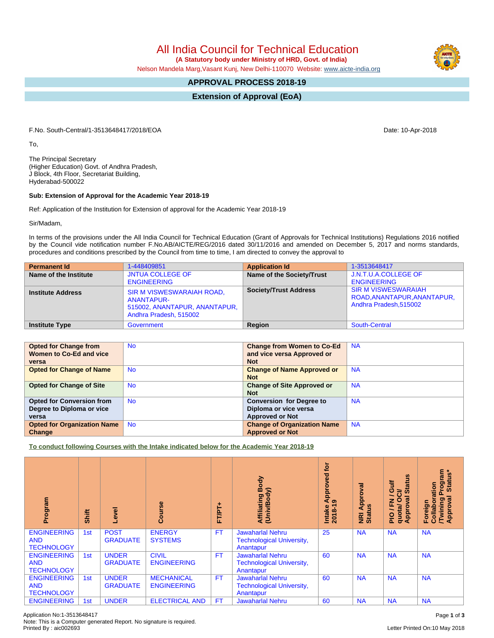All India Council for Technical Education

 **(A Statutory body under Ministry of HRD, Govt. of India)**

Nelson Mandela Marg,Vasant Kunj, New Delhi-110070 Website: [www.aicte-india.org](http://www.aicte-india.org)

## **APPROVAL PROCESS 2018-19**

**Extension of Approval (EoA)**

F.No. South-Central/1-3513648417/2018/EOA Date: 10-Apr-2018

To,

The Principal Secretary (Higher Education) Govt. of Andhra Pradesh, J Block, 4th Floor, Secretariat Building, Hyderabad-500022

## **Sub: Extension of Approval for the Academic Year 2018-19**

Ref: Application of the Institution for Extension of approval for the Academic Year 2018-19

Sir/Madam,

In terms of the provisions under the All India Council for Technical Education (Grant of Approvals for Technical Institutions) Regulations 2016 notified by the Council vide notification number F.No.AB/AICTE/REG/2016 dated 30/11/2016 and amended on December 5, 2017 and norms standards, procedures and conditions prescribed by the Council from time to time, I am directed to convey the approval to

| <b>Permanent Id</b>      | 1-448409851                                                                                               | <b>Application Id</b>        | 1-3513648417                                                                        |
|--------------------------|-----------------------------------------------------------------------------------------------------------|------------------------------|-------------------------------------------------------------------------------------|
| Name of the Institute    | <b>JNTUA COLLEGE OF</b><br><b>ENGINEERING</b>                                                             | Name of the Society/Trust    | J.N.T.U.A.COLLEGE OF<br><b>ENGINEERING</b>                                          |
| <b>Institute Address</b> | <b>SIR M VISWESWARAIAH ROAD,</b><br>ANANTAPUR-<br>515002, ANANTAPUR, ANANTAPUR,<br>Andhra Pradesh, 515002 | <b>Society/Trust Address</b> | <b>SIR M VISWESWARAIAH</b><br>ROAD, ANANTAPUR, ANANTAPUR,<br>Andhra Pradesh, 515002 |
| <b>Institute Type</b>    | Government                                                                                                | Region                       | South-Central                                                                       |

| <b>Opted for Change from</b>       | <b>No</b> | <b>Change from Women to Co-Ed</b>  | <b>NA</b> |
|------------------------------------|-----------|------------------------------------|-----------|
| Women to Co-Ed and vice            |           | and vice versa Approved or         |           |
| versa                              |           | <b>Not</b>                         |           |
| <b>Opted for Change of Name</b>    | <b>No</b> | <b>Change of Name Approved or</b>  | <b>NA</b> |
|                                    |           | <b>Not</b>                         |           |
| <b>Opted for Change of Site</b>    | <b>No</b> | <b>Change of Site Approved or</b>  | <b>NA</b> |
|                                    |           | <b>Not</b>                         |           |
| <b>Opted for Conversion from</b>   | <b>No</b> | <b>Conversion for Degree to</b>    | <b>NA</b> |
| Degree to Diploma or vice          |           | Diploma or vice versa              |           |
| versa                              |           | <b>Approved or Not</b>             |           |
| <b>Opted for Organization Name</b> | <b>No</b> | <b>Change of Organization Name</b> | <b>NA</b> |
| Change                             |           | <b>Approved or Not</b>             |           |

**To conduct following Courses with the Intake indicated below for the Academic Year 2018-19**

| Program                                               | Shift | Level                           | rse<br>ပ္ပြ                             | 广<br>hT<br>hT | Body<br>Affiliating Book<br>(Univ/Body)                                  | tor<br>Approved<br>ග<br>$2018 - 1$<br>Intake | Approval<br><b>Status</b><br><b>NKI</b> | <b>Status</b><br>旨<br>Ō<br>ਨੋ<br>∽<br>Ō<br>g<br>준<br>quota/<br>Approv<br>$\frac{1}{2}$ | <b>rogram</b><br>Status*<br>Collaboration<br>ख़<br><b>Twining</b><br>Approval<br>Foreign |
|-------------------------------------------------------|-------|---------------------------------|-----------------------------------------|---------------|--------------------------------------------------------------------------|----------------------------------------------|-----------------------------------------|----------------------------------------------------------------------------------------|------------------------------------------------------------------------------------------|
| <b>ENGINEERING</b><br><b>AND</b><br><b>TECHNOLOGY</b> | 1st   | <b>POST</b><br><b>GRADUATE</b>  | <b>ENERGY</b><br><b>SYSTEMS</b>         | <b>FT</b>     | <b>Jawaharlal Nehru</b><br><b>Technological University,</b><br>Anantapur | 25                                           | <b>NA</b>                               | <b>NA</b>                                                                              | <b>NA</b>                                                                                |
| <b>ENGINEERING</b><br><b>AND</b><br><b>TECHNOLOGY</b> | 1st   | <b>UNDER</b><br><b>GRADUATE</b> | <b>CIVIL</b><br><b>ENGINEERING</b>      | <b>FT</b>     | <b>Jawaharlal Nehru</b><br><b>Technological University,</b><br>Anantapur | 60                                           | <b>NA</b>                               | <b>NA</b>                                                                              | <b>NA</b>                                                                                |
| <b>ENGINEERING</b><br><b>AND</b><br><b>TECHNOLOGY</b> | 1st   | <b>UNDER</b><br><b>GRADUATE</b> | <b>MECHANICAL</b><br><b>ENGINEERING</b> | <b>FT</b>     | Jawaharlal Nehru<br><b>Technological University,</b><br>Anantapur        | 60                                           | <b>NA</b>                               | <b>NA</b>                                                                              | <b>NA</b>                                                                                |
| <b>ENGINEERING</b>                                    | 1st   | <b>UNDER</b>                    | <b>ELECTRICAL AND</b>                   | FT            | <b>Jawaharlal Nehru</b>                                                  | 60                                           | <b>NA</b>                               | <b>NA</b>                                                                              | <b>NA</b>                                                                                |

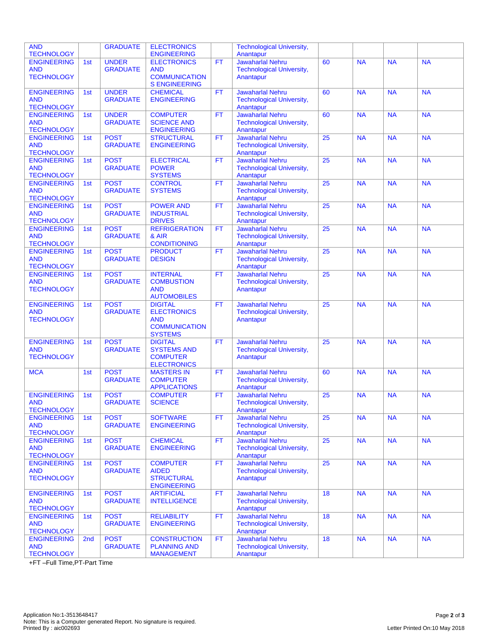| <b>AND</b><br><b>TECHNOLOGY</b>                       |                 | <b>GRADUATE</b>                 | <b>ELECTRONICS</b><br><b>ENGINEERING</b>                                                     |           | <b>Technological University,</b><br>Anantapur                            |                 |           |           |           |
|-------------------------------------------------------|-----------------|---------------------------------|----------------------------------------------------------------------------------------------|-----------|--------------------------------------------------------------------------|-----------------|-----------|-----------|-----------|
| <b>ENGINEERING</b><br><b>AND</b><br><b>TECHNOLOGY</b> | 1st             | <b>UNDER</b><br><b>GRADUATE</b> | <b>ELECTRONICS</b><br><b>AND</b><br><b>COMMUNICATION</b><br><b>S ENGINEERING</b>             | <b>FT</b> | <b>Jawaharlal Nehru</b><br><b>Technological University,</b><br>Anantapur | 60              | <b>NA</b> | <b>NA</b> | <b>NA</b> |
| <b>ENGINEERING</b><br><b>AND</b><br><b>TECHNOLOGY</b> | 1st             | <b>UNDER</b><br><b>GRADUATE</b> | <b>CHEMICAL</b><br><b>ENGINEERING</b>                                                        | <b>FT</b> | <b>Jawaharlal Nehru</b><br><b>Technological University,</b><br>Anantapur | 60              | <b>NA</b> | <b>NA</b> | <b>NA</b> |
| <b>ENGINEERING</b><br><b>AND</b><br><b>TECHNOLOGY</b> | 1st             | <b>UNDER</b><br><b>GRADUATE</b> | <b>COMPUTER</b><br><b>SCIENCE AND</b><br><b>ENGINEERING</b>                                  | <b>FT</b> | <b>Jawaharlal Nehru</b><br><b>Technological University,</b><br>Anantapur | 60              | <b>NA</b> | <b>NA</b> | <b>NA</b> |
| <b>ENGINEERING</b><br><b>AND</b><br><b>TECHNOLOGY</b> | 1st             | <b>POST</b><br><b>GRADUATE</b>  | <b>STRUCTURAL</b><br><b>ENGINEERING</b>                                                      | <b>FT</b> | <b>Jawaharlal Nehru</b><br><b>Technological University,</b><br>Anantapur | $\overline{25}$ | <b>NA</b> | <b>NA</b> | <b>NA</b> |
| <b>ENGINEERING</b><br><b>AND</b><br><b>TECHNOLOGY</b> | 1st             | <b>POST</b><br><b>GRADUATE</b>  | <b>ELECTRICAL</b><br><b>POWER</b><br><b>SYSTEMS</b>                                          | <b>FT</b> | <b>Jawaharlal Nehru</b><br><b>Technological University,</b><br>Anantapur | 25              | <b>NA</b> | <b>NA</b> | <b>NA</b> |
| <b>ENGINEERING</b><br><b>AND</b><br><b>TECHNOLOGY</b> | 1st             | <b>POST</b><br><b>GRADUATE</b>  | <b>CONTROL</b><br><b>SYSTEMS</b>                                                             | <b>FT</b> | <b>Jawaharlal Nehru</b><br><b>Technological University,</b><br>Anantapur | 25              | <b>NA</b> | <b>NA</b> | <b>NA</b> |
| <b>ENGINEERING</b><br><b>AND</b><br><b>TECHNOLOGY</b> | 1st             | <b>POST</b><br><b>GRADUATE</b>  | <b>POWER AND</b><br><b>INDUSTRIAL</b><br><b>DRIVES</b>                                       | FT        | <b>Jawaharlal Nehru</b><br><b>Technological University,</b><br>Anantapur | 25              | <b>NA</b> | <b>NA</b> | <b>NA</b> |
| <b>ENGINEERING</b><br><b>AND</b><br><b>TECHNOLOGY</b> | 1st             | <b>POST</b><br><b>GRADUATE</b>  | <b>REFRIGERATION</b><br>& AIR<br><b>CONDITIONING</b>                                         | <b>FT</b> | <b>Jawaharlal Nehru</b><br><b>Technological University,</b><br>Anantapur | 25              | <b>NA</b> | <b>NA</b> | <b>NA</b> |
| <b>ENGINEERING</b><br><b>AND</b><br><b>TECHNOLOGY</b> | 1st             | <b>POST</b><br><b>GRADUATE</b>  | <b>PRODUCT</b><br><b>DESIGN</b>                                                              | <b>FT</b> | <b>Jawaharlal Nehru</b><br><b>Technological University,</b><br>Anantapur | 25              | <b>NA</b> | <b>NA</b> | <b>NA</b> |
| <b>ENGINEERING</b><br><b>AND</b><br><b>TECHNOLOGY</b> | 1st             | <b>POST</b><br><b>GRADUATE</b>  | <b>INTERNAL</b><br><b>COMBUSTION</b><br><b>AND</b><br><b>AUTOMOBILES</b>                     | <b>FT</b> | <b>Jawaharlal Nehru</b><br><b>Technological University,</b><br>Anantapur | 25              | <b>NA</b> | <b>NA</b> | <b>NA</b> |
| <b>ENGINEERING</b><br><b>AND</b><br><b>TECHNOLOGY</b> | 1st             | <b>POST</b><br><b>GRADUATE</b>  | <b>DIGITAL</b><br><b>ELECTRONICS</b><br><b>AND</b><br><b>COMMUNICATION</b><br><b>SYSTEMS</b> | <b>FT</b> | <b>Jawaharlal Nehru</b><br><b>Technological University,</b><br>Anantapur | 25              | <b>NA</b> | <b>NA</b> | <b>NA</b> |
| <b>ENGINEERING</b><br><b>AND</b><br><b>TECHNOLOGY</b> | 1st             | <b>POST</b><br><b>GRADUATE</b>  | <b>DIGITAL</b><br><b>SYSTEMS AND</b><br><b>COMPUTER</b><br><b>ELECTRONICS</b>                | <b>FT</b> | <b>Jawaharlal Nehru</b><br><b>Technological University,</b><br>Anantapur | 25              | <b>NA</b> | <b>NA</b> | <b>NA</b> |
| <b>MCA</b>                                            | 1st             | <b>POST</b><br><b>GRADUATE</b>  | <b>MASTERS IN</b><br><b>COMPUTER</b><br><b>APPLICATIONS</b>                                  | <b>FT</b> | <b>Jawaharlal Nehru</b><br><b>Technological University,</b><br>Anantapur | 60              | <b>NA</b> | <b>NA</b> | <b>NA</b> |
| <b>ENGINEERING</b><br><b>AND</b><br><b>TECHNOLOGY</b> | 1st             | <b>POST</b><br><b>GRADUATE</b>  | <b>COMPUTER</b><br><b>SCIENCE</b>                                                            | <b>FT</b> | <b>Jawaharlal Nehru</b><br><b>Technological University,</b><br>Anantapur | 25              | <b>NA</b> | <b>NA</b> | <b>NA</b> |
| <b>ENGINEERING</b><br><b>AND</b><br><b>TECHNOLOGY</b> | 1st             | <b>POST</b><br><b>GRADUATE</b>  | <b>SOFTWARE</b><br><b>ENGINEERING</b>                                                        | <b>FT</b> | Jawaharlal Nehru<br><b>Technological University,</b><br>Anantapur        | 25              | <b>NA</b> | <b>NA</b> | <b>NA</b> |
| <b>ENGINEERING</b><br><b>AND</b><br><b>TECHNOLOGY</b> | 1st             | <b>POST</b><br><b>GRADUATE</b>  | <b>CHEMICAL</b><br><b>ENGINEERING</b>                                                        | <b>FT</b> | <b>Jawaharlal Nehru</b><br><b>Technological University,</b><br>Anantapur | 25              | <b>NA</b> | <b>NA</b> | <b>NA</b> |
| <b>ENGINEERING</b><br><b>AND</b><br><b>TECHNOLOGY</b> | 1st             | <b>POST</b><br><b>GRADUATE</b>  | <b>COMPUTER</b><br><b>AIDED</b><br><b>STRUCTURAL</b><br><b>ENGINEERING</b>                   | <b>FT</b> | <b>Jawaharlal Nehru</b><br><b>Technological University,</b><br>Anantapur | 25              | <b>NA</b> | <b>NA</b> | <b>NA</b> |
| <b>ENGINEERING</b><br><b>AND</b><br><b>TECHNOLOGY</b> | 1st             | <b>POST</b><br><b>GRADUATE</b>  | <b>ARTIFICIAL</b><br><b>INTELLIGENCE</b>                                                     | <b>FT</b> | <b>Jawaharlal Nehru</b><br><b>Technological University,</b><br>Anantapur | 18              | <b>NA</b> | <b>NA</b> | <b>NA</b> |
| <b>ENGINEERING</b><br><b>AND</b><br><b>TECHNOLOGY</b> | 1st             | <b>POST</b><br><b>GRADUATE</b>  | <b>RELIABILITY</b><br><b>ENGINEERING</b>                                                     | <b>FT</b> | Jawaharlal Nehru<br><b>Technological University,</b><br>Anantapur        | 18              | <b>NA</b> | <b>NA</b> | <b>NA</b> |
| <b>ENGINEERING</b><br><b>AND</b><br><b>TECHNOLOGY</b> | 2 <sub>nd</sub> | <b>POST</b><br><b>GRADUATE</b>  | <b>CONSTRUCTION</b><br><b>PLANNING AND</b><br><b>MANAGEMENT</b>                              | FT        | Jawaharlal Nehru<br><b>Technological University,</b><br>Anantapur        | 18              | <b>NA</b> | <b>NA</b> | <b>NA</b> |

+FT –Full Time,PT-Part Time